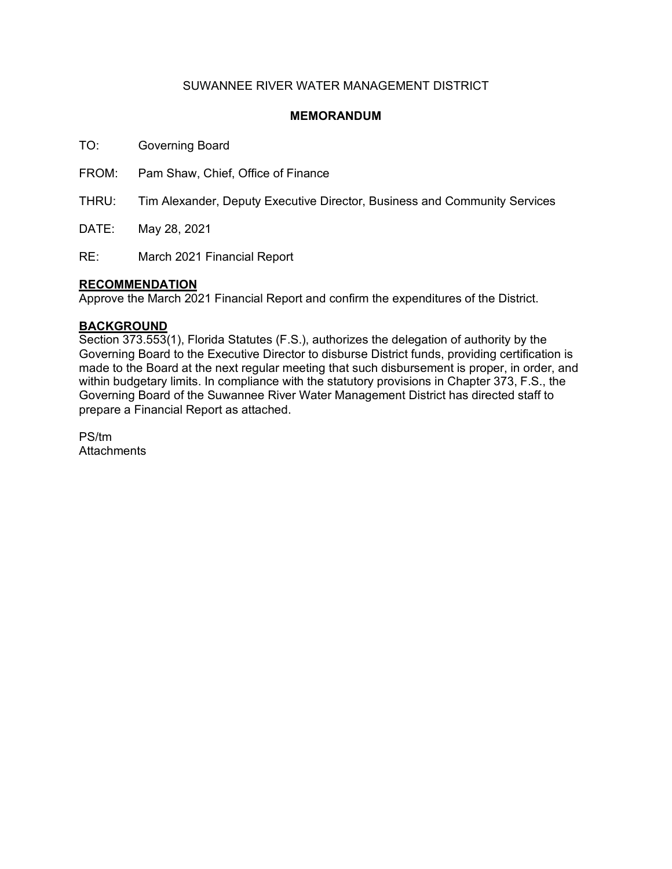## SUWANNEE RIVER WATER MANAGEMENT DISTRICT

## **MEMORANDUM**

TO: Governing Board

FROM: Pam Shaw, Chief, Office of Finance

THRU: Tim Alexander, Deputy Executive Director, Business and Community Services

DATE: May 28, 2021

RE: March 2021 Financial Report

### **RECOMMENDATION**

Approve the March 2021 Financial Report and confirm the expenditures of the District.

### **BACKGROUND**

Section 373.553(1), Florida Statutes (F.S.), authorizes the delegation of authority by the Governing Board to the Executive Director to disburse District funds, providing certification is made to the Board at the next regular meeting that such disbursement is proper, in order, and within budgetary limits. In compliance with the statutory provisions in Chapter 373, F.S., the Governing Board of the Suwannee River Water Management District has directed staff to prepare a Financial Report as attached.

PS/tm **Attachments**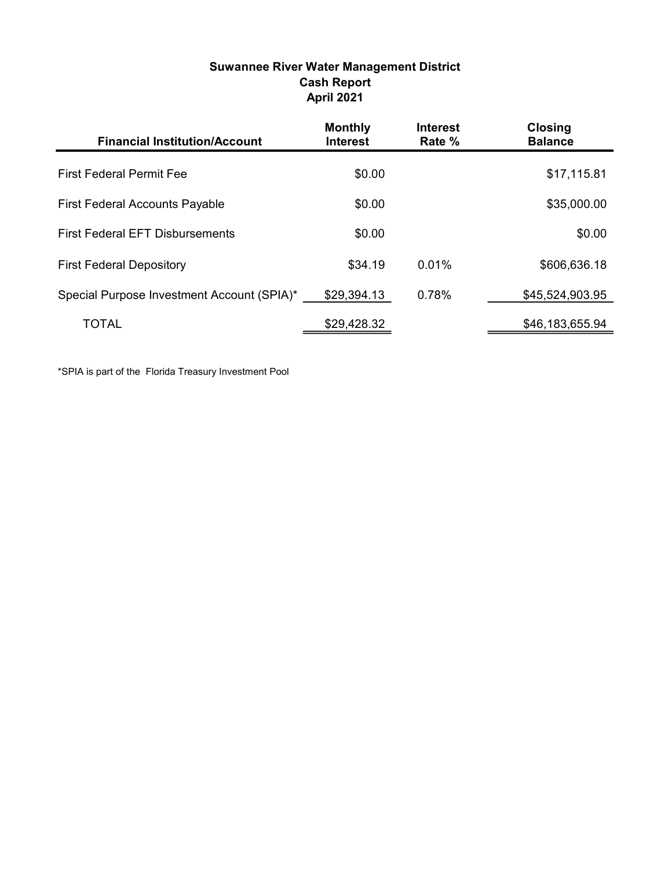| <b>Suwannee River Water Management District</b> |
|-------------------------------------------------|
| <b>Cash Report</b>                              |
| <b>April 2021</b>                               |

| <b>Financial Institution/Account</b>       | <b>Monthly</b><br><b>Interest</b> | <b>Interest</b><br>Rate % | <b>Closing</b><br><b>Balance</b> |
|--------------------------------------------|-----------------------------------|---------------------------|----------------------------------|
| <b>First Federal Permit Fee</b>            | \$0.00                            |                           | \$17,115.81                      |
| <b>First Federal Accounts Payable</b>      | \$0.00                            |                           | \$35,000.00                      |
| <b>First Federal EFT Disbursements</b>     | \$0.00                            |                           | \$0.00                           |
| <b>First Federal Depository</b>            | \$34.19                           | 0.01%                     | \$606,636.18                     |
| Special Purpose Investment Account (SPIA)* | \$29,394.13                       | 0.78%                     | \$45,524,903.95                  |
| TOTAL                                      | \$29,428.32                       |                           | \$46,183,655.94                  |

\*SPIA is part of the Florida Treasury Investment Pool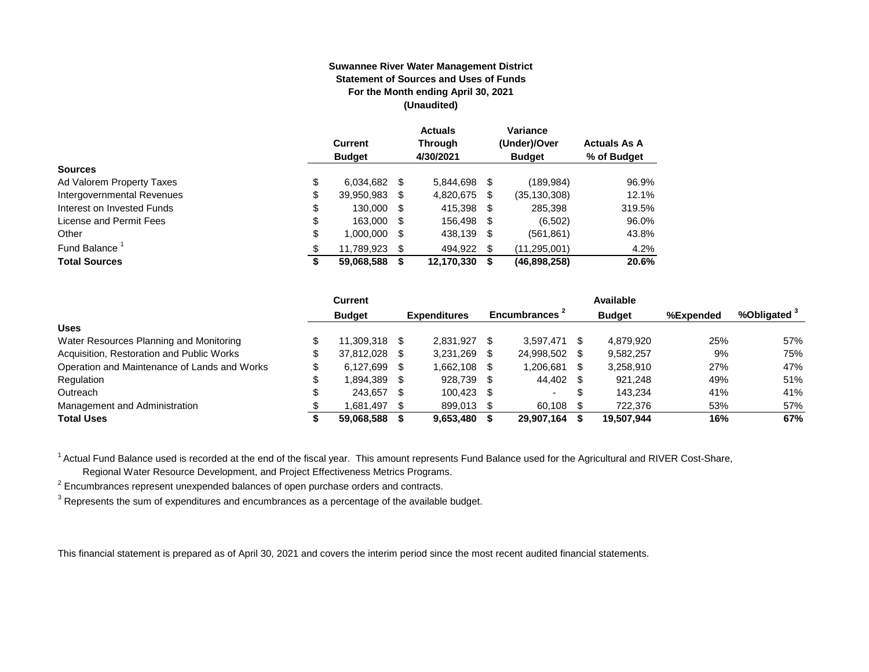#### **Suwannee River Water Management District Statement of Sources and Uses of Funds For the Month ending April 30, 2021 (Unaudited)**

|                                  | <b>Current</b><br><b>Budget</b> |      | <b>Actuals</b><br><b>Through</b><br>4/30/2021 |      | Variance<br>(Under)/Over<br><b>Budget</b> | <b>Actuals As A</b><br>% of Budget |
|----------------------------------|---------------------------------|------|-----------------------------------------------|------|-------------------------------------------|------------------------------------|
| <b>Sources</b>                   |                                 |      |                                               |      |                                           |                                    |
| \$<br>Ad Valorem Property Taxes  | 6,034,682                       | - \$ | 5.844.698                                     | S    | (189, 984)                                | 96.9%                              |
| Intergovernmental Revenues<br>\$ | 39,950,983                      | S    | 4,820,675                                     | \$   | (35,130,308)                              | 12.1%                              |
| \$<br>Interest on Invested Funds | 130.000                         | - \$ | 415,398                                       | - \$ | 285,398                                   | 319.5%                             |
| \$<br>License and Permit Fees    | 163,000                         | - \$ | 156,498                                       | S    | (6,502)                                   | 96.0%                              |
| \$<br>Other                      | 1,000,000                       | S    | 438,139                                       | -\$  | (561, 861)                                | 43.8%                              |
| Fund Balance<br>\$               | 11,789,923                      | S    | 494.922                                       | S.   | (11, 295, 001)                            | 4.2%                               |
| <b>Total Sources</b><br>\$       | 59,068,588                      |      | 12,170,330                                    | S    | (46,898,258)                              | 20.6%                              |

|                                              | Current            |      |                     |     |                |     | Available     |           |                         |
|----------------------------------------------|--------------------|------|---------------------|-----|----------------|-----|---------------|-----------|-------------------------|
|                                              | <b>Budget</b>      |      | <b>Expenditures</b> |     | Encumbrances 1 |     | <b>Budget</b> | %Expended | %Obligated <sup>3</sup> |
| <b>Uses</b>                                  |                    |      |                     |     |                |     |               |           |                         |
| Water Resources Planning and Monitoring      | 11.309.318 \$      |      | 2.831.927           |     | 3.597.471      | \$  | 4.879.920     | 25%       | 57%                     |
| Acquisition, Restoration and Public Works    | 37.812.028         | - \$ | 3,231,269           |     | 24,998,502     | -SS | 9,582,257     | 9%        | 75%                     |
| Operation and Maintenance of Lands and Works | \$<br>6.127.699 \$ |      | 1,662,108           |     | 1,206,681      | \$  | 3,258,910     | 27%       | 47%                     |
| Regulation                                   | 1.894.389          | - \$ | 928.739             |     | 44,402 \$      |     | 921.248       | 49%       | 51%                     |
| Outreach                                     | 243.657            | - \$ | 100.423             | -SS | $\sim$         | \$  | 143.234       | 41%       | 41%                     |
| Management and Administration                | 1.681.497          | - \$ | 899.013             |     | 60,108         |     | 722,376       | 53%       | 57%                     |
| <b>Total Uses</b>                            | 59,068,588         |      | 9,653,480           |     | 29,907,164     |     | 19,507,944    | 16%       | 67%                     |

<sup>1</sup> Actual Fund Balance used is recorded at the end of the fiscal year. This amount represents Fund Balance used for the Agricultural and RIVER Cost-Share,

Regional Water Resource Development, and Project Effectiveness Metrics Programs.

 $2$  Encumbrances represent unexpended balances of open purchase orders and contracts.

 $^3$  Represents the sum of expenditures and encumbrances as a percentage of the available budget.

This financial statement is prepared as of April 30, 2021 and covers the interim period since the most recent audited financial statements.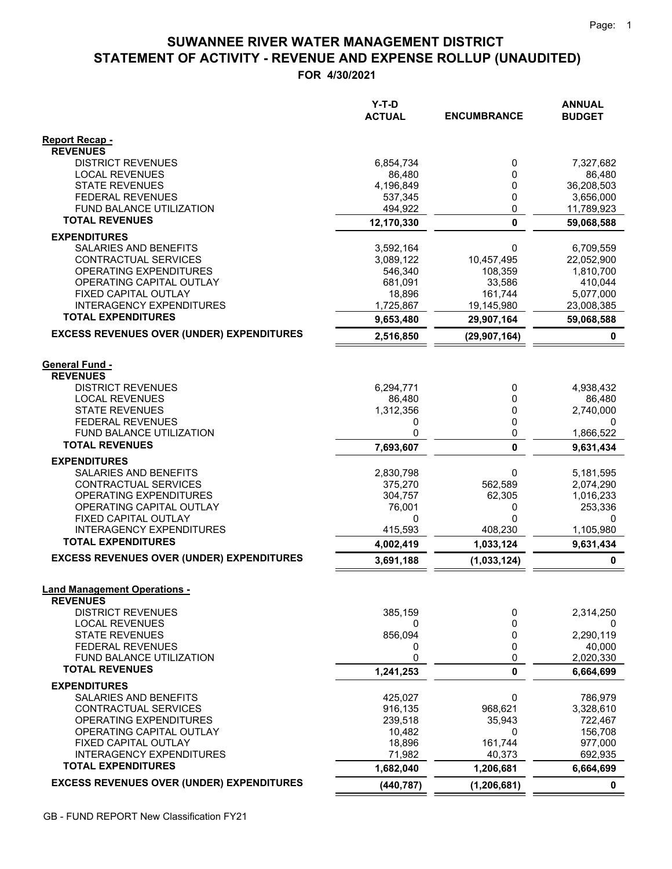## **STATEMENT OF ACTIVITY - REVENUE AND EXPENSE ROLLUP (UNAUDITED) SUWANNEE RIVER WATER MANAGEMENT DISTRICT**

**FOR 4/30/2021**

|                                                              | Y-T-D<br><b>ACTUAL</b> | <b>ENCUMBRANCE</b>    | <b>ANNUAL</b><br><b>BUDGET</b> |
|--------------------------------------------------------------|------------------------|-----------------------|--------------------------------|
| Report Recap -                                               |                        |                       |                                |
| <b>REVENUES</b><br><b>DISTRICT REVENUES</b>                  | 6,854,734              | 0                     | 7,327,682                      |
| <b>LOCAL REVENUES</b>                                        | 86,480                 | 0                     | 86,480                         |
| <b>STATE REVENUES</b>                                        | 4,196,849              | 0                     | 36,208,503                     |
| <b>FEDERAL REVENUES</b>                                      | 537,345                | 0                     | 3,656,000                      |
| <b>FUND BALANCE UTILIZATION</b>                              | 494,922                | 0                     | 11,789,923                     |
| <b>TOTAL REVENUES</b>                                        | 12,170,330             | 0                     | 59,068,588                     |
| <b>EXPENDITURES</b>                                          |                        |                       |                                |
| SALARIES AND BENEFITS                                        | 3,592,164              | 0                     | 6,709,559                      |
| CONTRACTUAL SERVICES<br>OPERATING EXPENDITURES               | 3,089,122<br>546,340   | 10,457,495<br>108,359 | 22,052,900<br>1,810,700        |
| OPERATING CAPITAL OUTLAY                                     | 681,091                | 33,586                | 410,044                        |
| FIXED CAPITAL OUTLAY                                         | 18,896                 | 161,744               | 5,077,000                      |
| <b>INTERAGENCY EXPENDITURES</b>                              | 1,725,867              | 19,145,980            | 23,008,385                     |
| <b>TOTAL EXPENDITURES</b>                                    | 9,653,480              | 29,907,164            | 59,068,588                     |
| <b>EXCESS REVENUES OVER (UNDER) EXPENDITURES</b>             | 2,516,850              | (29, 907, 164)        | 0                              |
| <b>General Fund -</b>                                        |                        |                       |                                |
| <b>REVENUES</b>                                              |                        |                       |                                |
| <b>DISTRICT REVENUES</b>                                     | 6,294,771              | 0                     | 4,938,432                      |
| <b>LOCAL REVENUES</b>                                        | 86,480                 | 0                     | 86,480                         |
| <b>STATE REVENUES</b>                                        | 1,312,356              | 0                     | 2,740,000                      |
| <b>FEDERAL REVENUES</b><br>FUND BALANCE UTILIZATION          | 0<br>0                 | 0<br>0                | 0<br>1,866,522                 |
| <b>TOTAL REVENUES</b>                                        | 7,693,607              | $\mathbf{0}$          | 9,631,434                      |
| <b>EXPENDITURES</b>                                          |                        |                       |                                |
| SALARIES AND BENEFITS                                        | 2,830,798              | 0                     | 5,181,595                      |
| CONTRACTUAL SERVICES                                         | 375,270                | 562,589               | 2,074,290                      |
| OPERATING EXPENDITURES                                       | 304,757                | 62,305                | 1,016,233                      |
| OPERATING CAPITAL OUTLAY                                     | 76,001                 | 0                     | 253,336                        |
| FIXED CAPITAL OUTLAY<br><b>INTERAGENCY EXPENDITURES</b>      | 0<br>415,593           | 0<br>408,230          | 0<br>1,105,980                 |
| <b>TOTAL EXPENDITURES</b>                                    | 4,002,419              | 1,033,124             | 9,631,434                      |
| <b>EXCESS REVENUES OVER (UNDER) EXPENDITURES</b>             | 3,691,188              | (1,033,124)           | $\mathbf 0$                    |
|                                                              |                        |                       |                                |
| <b>Land Management Operations -</b><br><b>REVENUES</b>       |                        |                       |                                |
| <b>DISTRICT REVENUES</b>                                     | 385,159                | 0                     | 2,314,250                      |
| <b>LOCAL REVENUES</b>                                        | 0                      | 0                     | 0                              |
| <b>STATE REVENUES</b>                                        | 856,094                | 0                     | 2,290,119                      |
| <b>FEDERAL REVENUES</b>                                      | 0                      | 0                     | 40,000                         |
| FUND BALANCE UTILIZATION<br><b>TOTAL REVENUES</b>            | 0                      | 0                     | 2,020,330                      |
|                                                              | 1,241,253              | 0                     | 6,664,699                      |
| <b>EXPENDITURES</b><br><b>SALARIES AND BENEFITS</b>          | 425,027                | 0                     | 786,979                        |
| CONTRACTUAL SERVICES                                         | 916,135                | 968,621               | 3,328,610                      |
| OPERATING EXPENDITURES                                       | 239,518                | 35.943                | 722,467                        |
| OPERATING CAPITAL OUTLAY                                     | 10,482                 | 0                     | 156,708                        |
| FIXED CAPITAL OUTLAY                                         | 18,896                 | 161,744               | 977,000                        |
| <b>INTERAGENCY EXPENDITURES</b><br><b>TOTAL EXPENDITURES</b> | 71,982<br>1,682,040    | 40,373<br>1,206,681   | 692,935<br>6,664,699           |
| <b>EXCESS REVENUES OVER (UNDER) EXPENDITURES</b>             |                        |                       |                                |
|                                                              | (440, 787)             | (1, 206, 681)         | 0                              |